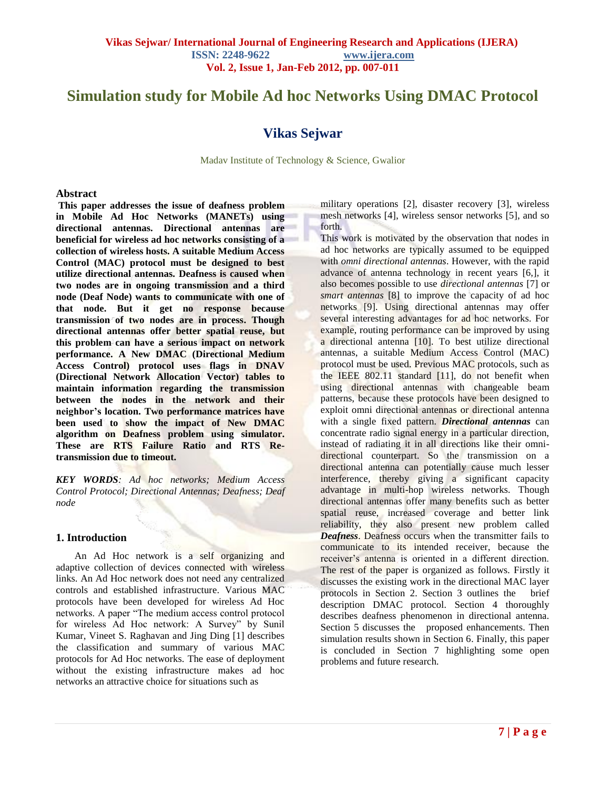# **Simulation study for Mobile Ad hoc Networks Using DMAC Protocol**

# **Vikas Sejwar**

Madav Institute of Technology & Science, Gwalior

#### **Abstract**

**This paper addresses the issue of deafness problem in Mobile Ad Hoc Networks (MANETs) using directional antennas. Directional antennas are beneficial for wireless ad hoc networks consisting of a collection of wireless hosts. A suitable Medium Access Control (MAC) protocol must be designed to best utilize directional antennas. Deafness is caused when two nodes are in ongoing transmission and a third node (Deaf Node) wants to communicate with one of that node. But it get no response because transmission of two nodes are in process. Though directional antennas offer better spatial reuse, but this problem can have a serious impact on network performance. A New DMAC (Directional Medium Access Control) protocol uses flags in DNAV (Directional Network Allocation Vector) tables to maintain information regarding the transmission between the nodes in the network and their neighbor's location. Two performance matrices have been used to show the impact of New DMAC algorithm on Deafness problem using simulator. These are RTS Failure Ratio and RTS Retransmission due to timeout.** 

*KEY WORDS: Ad hoc networks; Medium Access Control Protocol; Directional Antennas; Deafness; Deaf node*

# **1. Introduction**

An Ad Hoc network is a self organizing and adaptive collection of devices connected with wireless links. An Ad Hoc network does not need any centralized controls and established infrastructure. Various MAC protocols have been developed for wireless Ad Hoc networks. A paper "The medium access control protocol for wireless Ad Hoc network: A Survey" by Sunil Kumar, Vineet S. Raghavan and Jing Ding [1] describes the classification and summary of various MAC protocols for Ad Hoc networks. The ease of deployment without the existing infrastructure makes ad hoc networks an attractive choice for situations such as

military operations [2], disaster recovery [3], wireless mesh networks [4], wireless sensor networks [5], and so forth<sup>.</sup>

This work is motivated by the observation that nodes in ad hoc networks are typically assumed to be equipped with *omni directional antennas*. However, with the rapid advance of antenna technology in recent years [6,], it also becomes possible to use *directional antennas* [7] or *smart antennas* [8] to improve the capacity of ad hoc networks [9]. Using directional antennas may offer several interesting advantages for ad hoc networks. For example, routing performance can be improved by using a directional antenna [10]. To best utilize directional antennas, a suitable Medium Access Control (MAC) protocol must be used. Previous MAC protocols, such as the IEEE 802.11 standard [11], do not benefit when using directional antennas with changeable beam patterns, because these protocols have been designed to exploit omni directional antennas or directional antenna with a single fixed pattern. *Directional antennas* can concentrate radio signal energy in a particular direction, instead of radiating it in all directions like their omnidirectional counterpart. So the transmission on a directional antenna can potentially cause much lesser interference, thereby giving a significant capacity advantage in multi-hop wireless networks. Though directional antennas offer many benefits such as better spatial reuse, increased coverage and better link reliability, they also present new problem called *Deafness*. Deafness occurs when the transmitter fails to communicate to its intended receiver, because the receiver's antenna is oriented in a different direction. The rest of the paper is organized as follows. Firstly it discusses the existing work in the directional MAC layer protocols in Section 2. Section 3 outlines the brief description DMAC protocol. Section 4 thoroughly describes deafness phenomenon in directional antenna. Section 5 discusses the proposed enhancements. Then simulation results shown in Section 6. Finally, this paper is concluded in Section 7 highlighting some open problems and future research.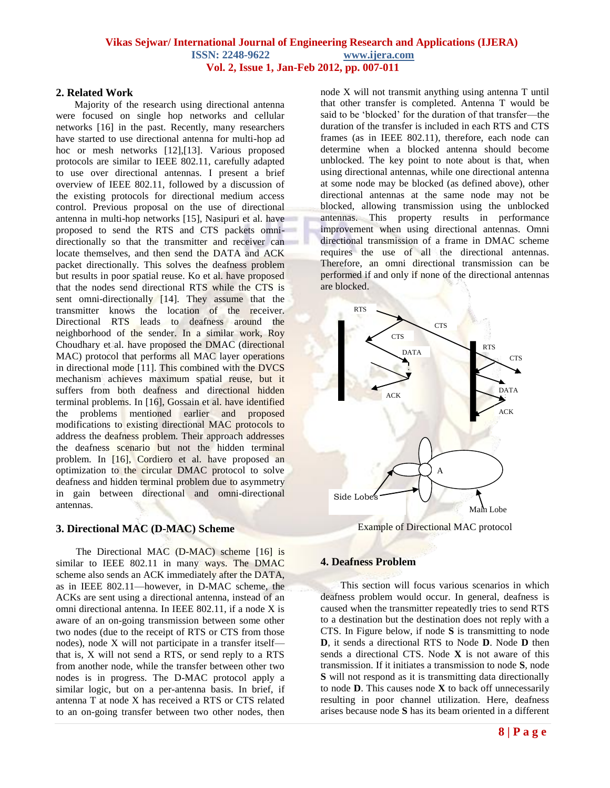# **2. Related Work**

Majority of the research using directional antenna were focused on single hop networks and cellular networks [16] in the past. Recently, many researchers have started to use directional antenna for multi-hop ad hoc or mesh networks [12],[13]. Various proposed protocols are similar to IEEE 802.11, carefully adapted to use over directional antennas. I present a brief overview of IEEE 802.11, followed by a discussion of the existing protocols for directional medium access control. Previous proposal on the use of directional antenna in multi-hop networks [15], Nasipuri et al. have proposed to send the RTS and CTS packets omnidirectionally so that the transmitter and receiver can locate themselves, and then send the DATA and ACK packet directionally. This solves the deafness problem but results in poor spatial reuse. Ko et al. have proposed that the nodes send directional RTS while the CTS is sent omni-directionally [14]. They assume that the transmitter knows the location of the receiver. Directional RTS leads to deafness around the neighborhood of the sender. In a similar work, Roy Choudhary et al. have proposed the DMAC (directional MAC) protocol that performs all MAC layer operations in directional mode [11]. This combined with the DVCS mechanism achieves maximum spatial reuse, but it suffers from both deafness and directional hidden terminal problems. In [16], Gossain et al. have identified the problems mentioned earlier and proposed modifications to existing directional MAC protocols to address the deafness problem. Their approach addresses the deafness scenario but not the hidden terminal problem. In [16], Cordiero et al. have proposed an optimization to the circular DMAC protocol to solve deafness and hidden terminal problem due to asymmetry in gain between directional and omni-directional antennas.

# **3. Directional MAC (D-MAC) Scheme**

 The Directional MAC (D-MAC) scheme [16] is similar to IEEE 802.11 in many ways. The DMAC scheme also sends an ACK immediately after the DATA, as in IEEE 802.11—however, in D-MAC scheme, the ACKs are sent using a directional antenna, instead of an omni directional antenna. In IEEE 802.11, if a node X is aware of an on-going transmission between some other two nodes (due to the receipt of RTS or CTS from those nodes), node X will not participate in a transfer itself that is, X will not send a RTS, or send reply to a RTS from another node, while the transfer between other two nodes is in progress. The D-MAC protocol apply a similar logic, but on a per-antenna basis. In brief, if antenna T at node X has received a RTS or CTS related to an on-going transfer between two other nodes, then

node X will not transmit anything using antenna T until that other transfer is completed. Antenna T would be said to be 'blocked' for the duration of that transfer—the duration of the transfer is included in each RTS and CTS frames (as in IEEE 802.11), therefore, each node can determine when a blocked antenna should become unblocked. The key point to note about is that, when using directional antennas, while one directional antenna at some node may be blocked (as defined above), other directional antennas at the same node may not be blocked, allowing transmission using the unblocked antennas. This property results in performance improvement when using directional antennas. Omni directional transmission of a frame in DMAC scheme requires the use of all the directional antennas. Therefore, an omni directional transmission can be performed if and only if none of the directional antennas are blocked.



Example of Directional MAC protocol

#### **4. Deafness Problem**

 This section will focus various scenarios in which deafness problem would occur. In general, deafness is caused when the transmitter repeatedly tries to send RTS to a destination but the destination does not reply with a CTS. In Figure below, if node **S** is transmitting to node **D**, it sends a directional RTS to Node **D**. Node **D** then sends a directional CTS. Node **X** is not aware of this transmission. If it initiates a transmission to node **S**, node **S** will not respond as it is transmitting data directionally to node **D**. This causes node **X** to back off unnecessarily resulting in poor channel utilization. Here, deafness arises because node **S** has its beam oriented in a different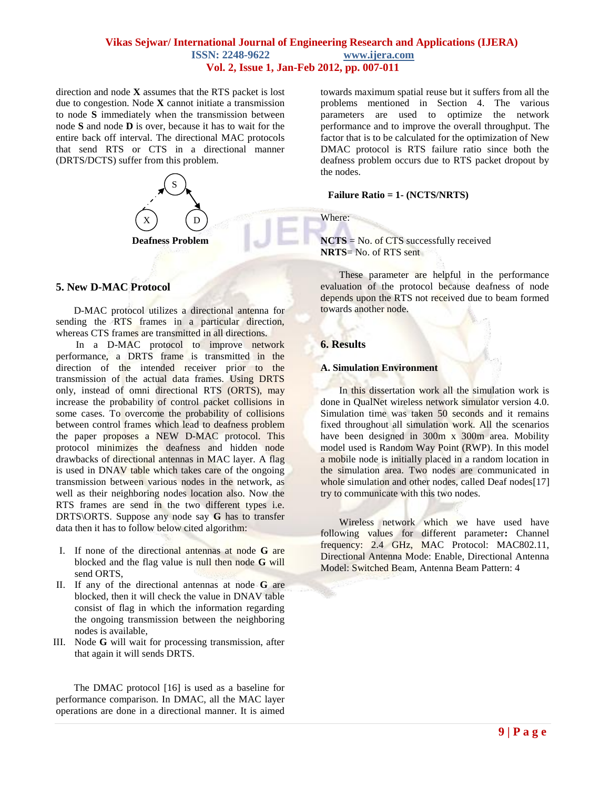# **Vikas Sejwar/ International Journal of Engineering Research and Applications (IJERA) ISSN: 2248-9622 www.ijera.com Vol. 2, Issue 1, Jan-Feb 2012, pp. 007-011**

direction and node **X** assumes that the RTS packet is lost due to congestion. Node **X** cannot initiate a transmission to node **S** immediately when the transmission between node **S** and node **D** is over, because it has to wait for the entire back off interval. The directional MAC protocols that send RTS or CTS in a directional manner (DRTS/DCTS) suffer from this problem.



#### **5. New D-MAC Protocol**

D-MAC protocol utilizes a directional antenna for sending the RTS frames in a particular direction, whereas CTS frames are transmitted in all directions.

 In a D-MAC protocol to improve network performance, a DRTS frame is transmitted in the direction of the intended receiver prior to the transmission of the actual data frames. Using DRTS only, instead of omni directional RTS (ORTS), may increase the probability of control packet collisions in some cases. To overcome the probability of collisions between control frames which lead to deafness problem the paper proposes a NEW D-MAC protocol. This protocol minimizes the deafness and hidden node drawbacks of directional antennas in MAC layer. A flag is used in DNAV table which takes care of the ongoing transmission between various nodes in the network, as well as their neighboring nodes location also. Now the RTS frames are send in the two different types i.e. DRTS\ORTS. Suppose any node say **G** has to transfer data then it has to follow below cited algorithm:

- I. If none of the directional antennas at node **G** are blocked and the flag value is null then node **G** will send ORTS,
- II. If any of the directional antennas at node **G** are blocked, then it will check the value in DNAV table consist of flag in which the information regarding the ongoing transmission between the neighboring nodes is available,
- III. Node **G** will wait for processing transmission, after that again it will sends DRTS.

The DMAC protocol [16] is used as a baseline for performance comparison. In DMAC, all the MAC layer operations are done in a directional manner. It is aimed

towards maximum spatial reuse but it suffers from all the problems mentioned in Section 4. The various parameters are used to optimize the network performance and to improve the overall throughput. The factor that is to be calculated for the optimization of New DMAC protocol is RTS failure ratio since both the deafness problem occurs due to RTS packet dropout by the nodes.

#### **Failure Ratio = 1- (NCTS/NRTS)**

Where:

**NCTS** = No. of CTS successfully received **NRTS**= No. of RTS sent

These parameter are helpful in the performance evaluation of the protocol because deafness of node depends upon the RTS not received due to beam formed towards another node.

#### **6. Results**

#### **A. Simulation Environment**

In this dissertation work all the simulation work is done in QualNet wireless network simulator version 4.0. Simulation time was taken 50 seconds and it remains fixed throughout all simulation work. All the scenarios have been designed in 300m x 300m area. Mobility model used is Random Way Point (RWP). In this model a mobile node is initially placed in a random location in the simulation area. Two nodes are communicated in whole simulation and other nodes, called Deaf nodes[17] try to communicate with this two nodes.

Wireless network which we have used have following values for different parameter**:** Channel frequency: 2.4 GHz, MAC Protocol: MAC802.11, Directional Antenna Mode: Enable, Directional Antenna Model: Switched Beam, Antenna Beam Pattern: 4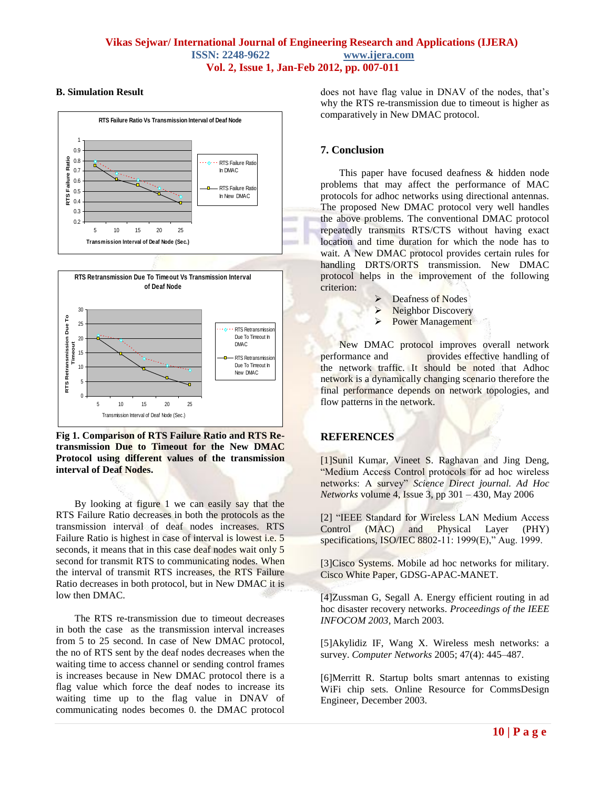# **B. Simulation Result**





**Fig 1. Comparison of RTS Failure Ratio and RTS Retransmission Due to Timeout for the New DMAC Protocol using different values of the transmission interval of Deaf Nodes.** 

By looking at figure 1 we can easily say that the RTS Failure Ratio decreases in both the protocols as the transmission interval of deaf nodes increases. RTS Failure Ratio is highest in case of interval is lowest i.e. 5 seconds, it means that in this case deaf nodes wait only 5 second for transmit RTS to communicating nodes. When the interval of transmit RTS increases, the RTS Failure Ratio decreases in both protocol, but in New DMAC it is low then DMAC.

The RTS re-transmission due to timeout decreases in both the case as the transmission interval increases from 5 to 25 second. In case of New DMAC protocol, the no of RTS sent by the deaf nodes decreases when the waiting time to access channel or sending control frames is increases because in New DMAC protocol there is a flag value which force the deaf nodes to increase its waiting time up to the flag value in DNAV of communicating nodes becomes 0. the DMAC protocol

does not have flag value in DNAV of the nodes, that's why the RTS re-transmission due to timeout is higher as comparatively in New DMAC protocol.

# **7. Conclusion**

This paper have focused deafness & hidden node problems that may affect the performance of MAC protocols for adhoc networks using directional antennas. The proposed New DMAC protocol very well handles the above problems. The conventional DMAC protocol repeatedly transmits RTS/CTS without having exact location and time duration for which the node has to wait. A New DMAC protocol provides certain rules for handling DRTS/ORTS transmission. New DMAC protocol helps in the improvement of the following criterion:

- $\triangleright$  Deafness of Nodes
- $\triangleright$  Neighbor Discovery
- **Power Management**

New DMAC protocol improves overall network performance and provides effective handling of the network traffic. It should be noted that Adhoc network is a dynamically changing scenario therefore the final performance depends on network topologies, and flow patterns in the network.

# **REFERENCES**

[1]Sunil Kumar, Vineet S. Raghavan and Jing Deng, "Medium Access Control protocols for ad hoc wireless networks: A survey" Science Direct journal. Ad Hoc *Networks* volume 4, Issue 3, pp 301 – 430, May 2006

[2] "IEEE Standard for Wireless LAN Medium Access Control (MAC) and Physical Layer (PHY) specifications, ISO/IEC 8802-11: 1999(E)," Aug. 1999.

[3]Cisco Systems. Mobile ad hoc networks for military. Cisco White Paper, GDSG-APAC-MANET.

[4]Zussman G, Segall A. Energy efficient routing in ad hoc disaster recovery networks. *Proceedings of the IEEE INFOCOM 2003*, March 2003.

[5]Akylidiz IF, Wang X. Wireless mesh networks: a survey. *Computer Networks* 2005; 47(4): 445–487.

[6]Merritt R. Startup bolts smart antennas to existing WiFi chip sets. Online Resource for CommsDesign Engineer, December 2003.